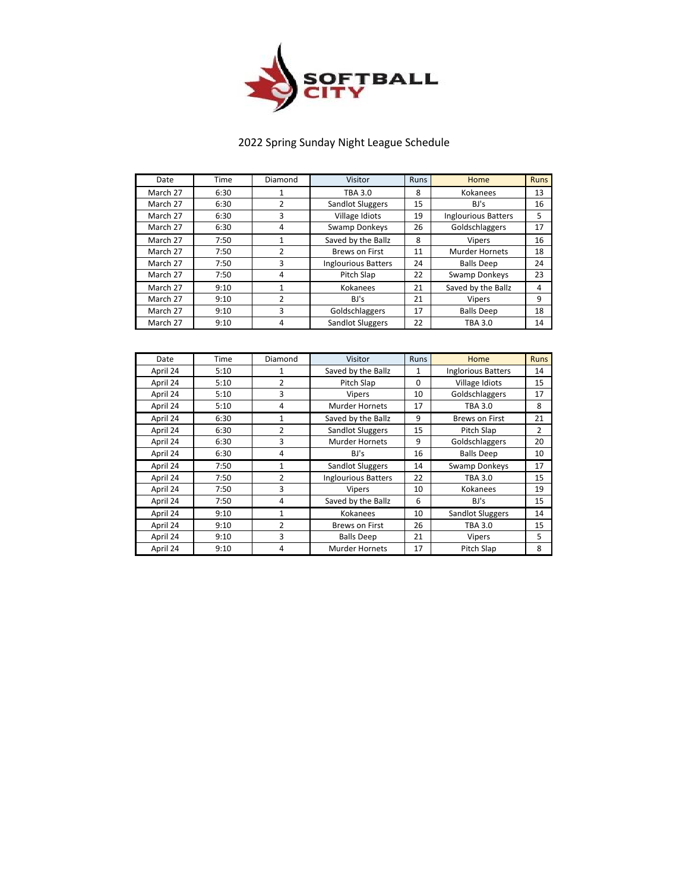

## 2022 Spring Sunday Night League Schedule

| Date     | Time | Diamond        | Visitor                    | <b>Runs</b> | <b>Home</b>                | <b>Runs</b> |
|----------|------|----------------|----------------------------|-------------|----------------------------|-------------|
| March 27 | 6:30 |                | <b>TBA 3.0</b>             | 8           | Kokanees                   | 13          |
| March 27 | 6:30 | $\mathfrak z$  | Sandlot Sluggers           | 15          | BJ's                       | 16          |
| March 27 | 6:30 | 3              | Village Idiots             | 19          | <b>Inglourious Batters</b> | 5           |
| March 27 | 6:30 | 4              | Swamp Donkeys              | 26          | Goldschlaggers             | 17          |
| March 27 | 7:50 |                | Saved by the Ballz         | 8           | Vipers                     | 16          |
| March 27 | 7:50 | $\overline{2}$ | <b>Brews on First</b>      | 11          | <b>Murder Hornets</b>      | 18          |
| March 27 | 7:50 | 3              | <b>Inglourious Batters</b> | 24          | <b>Balls Deep</b>          | 24          |
| March 27 | 7:50 | 4              | Pitch Slap                 | 22          | <b>Swamp Donkeys</b>       | 23          |
| March 27 | 9:10 | 1              | Kokanees                   | 21          | Saved by the Ballz         | 4           |
| March 27 | 9:10 | $\mathcal{P}$  | BI's                       | 21          | <b>Vipers</b>              | 9           |
| March 27 | 9:10 | 3              | Goldschlaggers             | 17          | <b>Balls Deep</b>          | 18          |
| March 27 | 9:10 | 4              | Sandlot Sluggers           | 22          | <b>TBA 3.0</b>             | 14          |

| Date     | Time | Diamond        | Visitor                    | <b>Runs</b> | Home                      | <b>Runs</b>    |
|----------|------|----------------|----------------------------|-------------|---------------------------|----------------|
| April 24 | 5:10 | 1              | Saved by the Ballz         | 1           | <b>Inglorious Batters</b> | 14             |
| April 24 | 5:10 | $\overline{2}$ | Pitch Slap                 | $\Omega$    | Village Idiots            | 15             |
| April 24 | 5:10 | 3              | <b>Vipers</b>              | 10          | Goldschlaggers            | 17             |
| April 24 | 5:10 | 4              | <b>Murder Hornets</b>      | 17          | <b>TBA 3.0</b>            | 8              |
| April 24 | 6:30 | 1              | Saved by the Ballz         | 9           | <b>Brews on First</b>     | 21             |
| April 24 | 6:30 | 2              | <b>Sandlot Sluggers</b>    | 15          | Pitch Slap                | $\overline{2}$ |
| April 24 | 6:30 | 3              | <b>Murder Hornets</b>      | 9           | Goldschlaggers            | 20             |
| April 24 | 6:30 | 4              | BJ's                       | 16          | <b>Balls Deep</b>         | 10             |
| April 24 | 7:50 | $\mathbf{1}$   | <b>Sandlot Sluggers</b>    | 14          | <b>Swamp Donkeys</b>      | 17             |
| April 24 | 7:50 | $\overline{2}$ | <b>Inglourious Batters</b> | 22          | <b>TBA 3.0</b>            | 15             |
| April 24 | 7:50 | 3              | <b>Vipers</b>              | 10          | Kokanees                  | 19             |
| April 24 | 7:50 | 4              | Saved by the Ballz         | 6           | BJ's                      | 15             |
| April 24 | 9:10 | 1              | Kokanees                   | 10          | Sandlot Sluggers          | 14             |
| April 24 | 9:10 | $\overline{2}$ | <b>Brews on First</b>      | 26          | <b>TBA 3.0</b>            | 15             |
| April 24 | 9:10 | 3              | <b>Balls Deep</b>          | 21          | <b>Vipers</b>             | 5              |
| April 24 | 9:10 | 4              | <b>Murder Hornets</b>      | 17          | Pitch Slap                | 8              |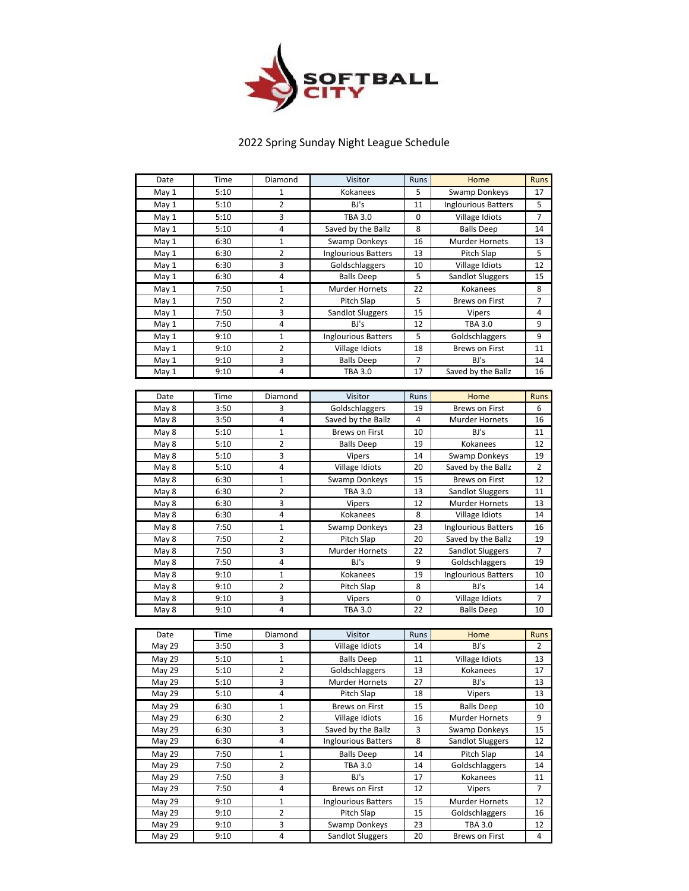

## 2022 Spring Sunday Night League Schedule

| Date           | Time         | Diamond                       | Visitor                             | Runs           | Home                                      | <b>Runs</b>      |
|----------------|--------------|-------------------------------|-------------------------------------|----------------|-------------------------------------------|------------------|
| May 1          | 5:10         | 1                             | Kokanees                            | 5              | <b>Swamp Donkeys</b>                      | 17               |
| May 1          | 5:10         | $\overline{2}$                | BJ's                                | 11             | <b>Inglourious Batters</b>                | 5                |
| May 1          | 5:10         | 3                             | <b>TBA 3.0</b>                      | $\mathbf 0$    | Village Idiots                            | 7                |
| May 1          | 5:10         | 4                             | Saved by the Ballz                  | 8              | <b>Balls Deep</b>                         | 14               |
| May 1          | 6:30         | 1                             | Swamp Donkeys                       | 16             | <b>Murder Hornets</b>                     | 13               |
| May 1          | 6:30         | $\overline{2}$                | <b>Inglourious Batters</b>          | 13             | Pitch Slap                                | 5                |
| May 1          | 6:30         | 3                             | Goldschlaggers                      | 10             | Village Idiots                            | 12               |
| May 1          | 6:30         | 4                             | <b>Balls Deep</b>                   | 5              | <b>Sandlot Sluggers</b>                   | 15               |
| May 1          | 7:50         | $\mathbf 1$                   | <b>Murder Hornets</b>               | 22             | Kokanees                                  | 8                |
| May 1          | 7:50         | 2                             | Pitch Slap                          | 5              | <b>Brews on First</b>                     | 7                |
| May 1          | 7:50         | 3                             | <b>Sandlot Sluggers</b>             | 15             | <b>Vipers</b>                             | 4                |
| May 1          | 7:50         | 4                             | BJ's                                | 12             | <b>TBA 3.0</b>                            | 9                |
| May1           | 9:10         | $\mathbf 1$                   | <b>Inglourious Batters</b>          | 5              | Goldschlaggers                            | 9                |
| May 1          | 9:10         | $\overline{2}$                | Village Idiots                      | 18             | <b>Brews on First</b>                     | 11               |
| May 1          | 9:10         | 3                             | <b>Balls Deep</b>                   | $\overline{7}$ | BJ's                                      | 14               |
| May 1          | 9:10         | 4                             | <b>TBA 3.0</b>                      | 17             | Saved by the Ballz                        | 16               |
|                |              |                               |                                     |                |                                           |                  |
| Date           | Time         | Diamond                       | Visitor                             | Runs           | Home                                      | <b>Runs</b>      |
|                | 3:50         | 3                             | Goldschlaggers                      | 19             | <b>Brews on First</b>                     | 6                |
| May 8<br>May 8 | 3:50         | 4                             | Saved by the Ballz                  | 4              | <b>Murder Hornets</b>                     | 16               |
|                |              |                               |                                     |                |                                           |                  |
| May 8          | 5:10         | $\mathbf 1$                   | <b>Brews on First</b>               | 10             | BJ's                                      | 11               |
| May 8          | 5:10<br>5:10 | 2<br>3                        | <b>Balls Deep</b>                   | 19<br>14       | Kokanees<br>Swamp Donkeys                 | 12<br>19         |
| May 8          | 5:10         | 4                             | Vipers<br>Village Idiots            | 20             | Saved by the Ballz                        | $\overline{2}$   |
| May 8          |              |                               |                                     |                |                                           |                  |
| May 8          | 6:30         | $\mathbf 1$                   | <b>Swamp Donkeys</b>                | 15             | <b>Brews on First</b>                     | 12               |
| May 8          | 6:30         | 2<br>3                        | <b>TBA 3.0</b>                      | 13<br>12       | <b>Sandlot Sluggers</b>                   | 11               |
| May 8<br>May 8 | 6:30<br>6:30 | 4                             | Vipers<br>Kokanees                  | 8              | Murder Hornets<br>Village Idiots          | 13<br>14         |
|                |              | $\mathbf{1}$                  |                                     | 23             | <b>Inglourious Batters</b>                |                  |
| May 8          | 7:50         | $\overline{2}$                | Swamp Donkeys                       | 20             |                                           | 16               |
| May 8          | 7:50         | 3                             | Pitch Slap                          | 22             | Saved by the Ballz                        | 19<br>7          |
| May 8<br>May 8 | 7:50<br>7:50 | 4                             | Murder Hornets<br>BJ's              | 9              | <b>Sandlot Sluggers</b><br>Goldschlaggers | 19               |
|                | 9:10         | $\mathbf 1$                   |                                     | 19             |                                           | 10               |
| May 8          | 9:10         | $\overline{2}$                | Kokanees                            |                | <b>Inglourious Batters</b><br>BJ's        |                  |
| May 8          | 9:10         | 3                             | Pitch Slap                          | 8<br>0         | Village Idiots                            | 14<br>7          |
| May 8          | 9:10         | 4                             | Vipers<br><b>TBA 3.0</b>            | 22             | <b>Balls Deep</b>                         | 10               |
| May 8          |              |                               |                                     |                |                                           |                  |
| Date           |              |                               |                                     |                |                                           |                  |
| May 29         | Time<br>3:50 | Diamond<br>3                  | Visitor<br>Village Idiots           | Runs<br>14     | Home<br>BJ's                              | <b>Runs</b><br>2 |
|                |              |                               |                                     |                |                                           |                  |
| May 29         | 5:10<br>5:10 | $\mathbf 1$<br>$\overline{2}$ | <b>Balls Deep</b><br>Goldschlaggers | 11<br>13       | Village Idiots<br>Kokanees                | 13<br>17         |
| May 29         | 5:10         |                               |                                     |                |                                           |                  |
| May 29         | 5:10         | 3<br>4                        | <b>Murder Hornets</b><br>Pitch Slap | 27<br>18       | BJ's<br><b>Vipers</b>                     | 13<br>13         |
| May 29         |              |                               |                                     |                |                                           |                  |
| May 29         | 6:30         | 1                             | <b>Brews on First</b>               | 15             | <b>Balls Deep</b>                         | 10               |
| May 29         | 6:30         | $\overline{2}$                | Village Idiots                      | 16             | Murder Hornets                            | 9                |
| May 29         | 6:30         | 3                             | Saved by the Ballz                  | 3              | <b>Swamp Donkeys</b>                      | 15               |
| May 29         | 6:30         | 4                             | <b>Inglourious Batters</b>          | 8              | Sandlot Sluggers                          | 12               |
| May 29         | 7:50         | 1                             | <b>Balls Deep</b>                   | 14             | Pitch Slap                                | 14               |
| May 29         | 7:50         | 2                             | <b>TBA 3.0</b>                      | 14             | Goldschlaggers                            | 14               |
| May 29         | 7:50         | 3                             | BJ's                                | 17             | Kokanees                                  | 11               |
| May 29         | 7:50         | 4                             | Brews on First                      | 12             | Vipers                                    | 7                |
| May 29         | 9:10         | 1                             | <b>Inglourious Batters</b>          | 15             | <b>Murder Hornets</b>                     | 12               |
| May 29         | 9:10         | 2                             | Pitch Slap                          | 15             | Goldschlaggers                            | 16               |
| May 29         | 9:10         | 3                             | Swamp Donkeys                       | 23             | TBA 3.0                                   | 12               |
| May 29         | 9:10         | 4                             | <b>Sandlot Sluggers</b>             | 20             | <b>Brews on First</b>                     | 4                |